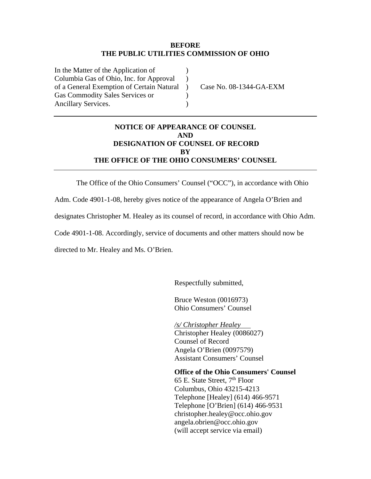## **BEFORE THE PUBLIC UTILITIES COMMISSION OF OHIO**

)  $\lambda$ )  $\lambda$ )

In the Matter of the Application of Columbia Gas of Ohio, Inc. for Approval of a General Exemption of Certain Natural Gas Commodity Sales Services or Ancillary Services.

Case No. 08-1344-GA-EXM

## **NOTICE OF APPEARANCE OF COUNSEL AND DESIGNATION OF COUNSEL OF RECORD BY THE OFFICE OF THE OHIO CONSUMERS' COUNSEL**

The Office of the Ohio Consumers' Counsel ("OCC"), in accordance with Ohio

Adm. Code 4901-1-08, hereby gives notice of the appearance of Angela O'Brien and

designates Christopher M. Healey as its counsel of record, in accordance with Ohio Adm.

Code 4901-1-08. Accordingly, service of documents and other matters should now be

directed to Mr. Healey and Ms. O'Brien.

Respectfully submitted,

Bruce Weston (0016973) Ohio Consumers' Counsel

*/s/ Christopher Healey*  Christopher Healey (0086027) Counsel of Record Angela O'Brien (0097579) Assistant Consumers' Counsel

**Office of the Ohio Consumers' Counsel** 

65 E. State Street, 7th Floor Columbus, Ohio 43215-4213 Telephone [Healey] (614) 466-9571 Telephone [O'Brien] (614) 466-9531 christopher.healey@occ.ohio.gov angela.obrien@occ.ohio.gov (will accept service via email)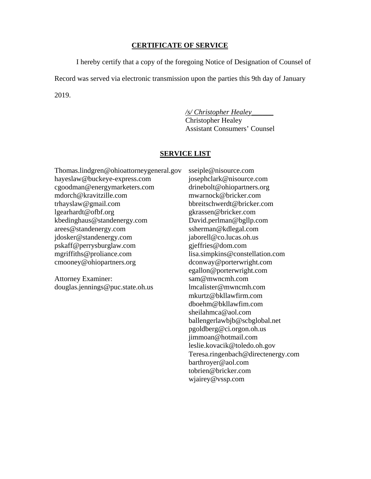## **CERTIFICATE OF SERVICE**

I hereby certify that a copy of the foregoing Notice of Designation of Counsel of Record was served via electronic transmission upon the parties this 9th day of January 2019.

> */s/ Christopher Healey\_\_\_\_\_\_* Christopher Healey Assistant Consumers' Counsel

## **SERVICE LIST**

Thomas.lindgren@ohioattorneygeneral.gov hayeslaw@buckeye-express.com cgoodman@energymarketers.com mdorch@kravitzille.com trhayslaw@gmail.com lgearhardt@ofbf.org kbedinghaus@standenergy.com arees@standenergy.com jdosker@standenergy.com pskaff@perrysburglaw.com mgriffiths@proliance.com cmooney@ohiopartners.org

Attorney Examiner: douglas.jennings@puc.state.oh.us

sseiple@nisource.com josephclark@nisource.com drinebolt@ohiopartners.org mwarnock@bricker.com bbreitschwerdt@bricker.com gkrassen@bricker.com David.perlman@bgllp.com ssherman@kdlegal.com jaborell@co.lucas.oh.us gjeffries@dom.com lisa.simpkins@constellation.com dconway@porterwright.com egallon@porterwright.com sam@mwncmh.com lmcalister@mwncmh.com mkurtz@bkllawfirm.com dboehm@bkllawfim.com sheilahmca@aol.com ballengerlawbjb@scbglobal.net pgoldberg@ci.orgon.oh.us jimmoan@hotmail.com leslie.kovacik@toledo.oh.gov Teresa.ringenbach@directenergy.com barthroyer@aol.com tobrien@bricker.com wjairey@vssp.com